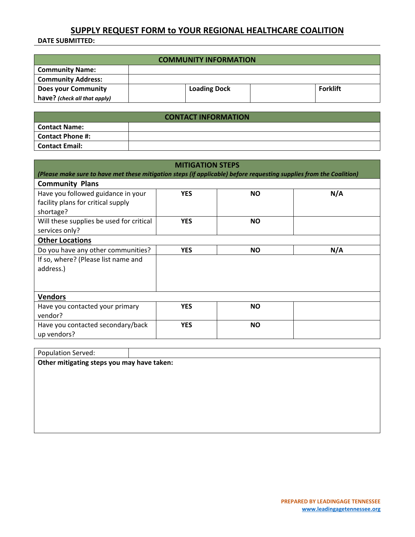## **SUPPLY REQUEST FORM to YOUR REGIONAL HEALTHCARE COALITION**

**DATE SUBMITTED:**

| <b>COMMUNITY INFORMATION</b> |  |                     |  |                 |
|------------------------------|--|---------------------|--|-----------------|
| <b>Community Name:</b>       |  |                     |  |                 |
| <b>Community Address:</b>    |  |                     |  |                 |
| <b>Does your Community</b>   |  | <b>Loading Dock</b> |  | <b>Forklift</b> |
| have? (check all that apply) |  |                     |  |                 |

| <b>CONTACT INFORMATION</b> |  |  |  |
|----------------------------|--|--|--|
| <b>Contact Name:</b>       |  |  |  |
| <b>Contact Phone #:</b>    |  |  |  |
| <b>Contact Email:</b>      |  |  |  |

| <b>MITIGATION STEPS</b>                                                                                             |            |           |     |  |
|---------------------------------------------------------------------------------------------------------------------|------------|-----------|-----|--|
| (Please make sure to have met these mitigation steps (if applicable) before requesting supplies from the Coalition) |            |           |     |  |
| <b>Community Plans</b>                                                                                              |            |           |     |  |
| Have you followed guidance in your<br>facility plans for critical supply<br>shortage?                               | <b>YES</b> | <b>NO</b> | N/A |  |
| Will these supplies be used for critical<br>services only?                                                          | <b>YES</b> | <b>NO</b> |     |  |
| <b>Other Locations</b>                                                                                              |            |           |     |  |
| Do you have any other communities?                                                                                  | <b>YES</b> | <b>NO</b> | N/A |  |
| If so, where? (Please list name and<br>address.)                                                                    |            |           |     |  |
| <b>Vendors</b>                                                                                                      |            |           |     |  |
| Have you contacted your primary<br>vendor?                                                                          | <b>YES</b> | <b>NO</b> |     |  |
| Have you contacted secondary/back<br>up vendors?                                                                    | <b>YES</b> | <b>NO</b> |     |  |

| Population Served:                         |  |  |  |
|--------------------------------------------|--|--|--|
| Other mitigating steps you may have taken: |  |  |  |
|                                            |  |  |  |
|                                            |  |  |  |
|                                            |  |  |  |
|                                            |  |  |  |
|                                            |  |  |  |
|                                            |  |  |  |
|                                            |  |  |  |